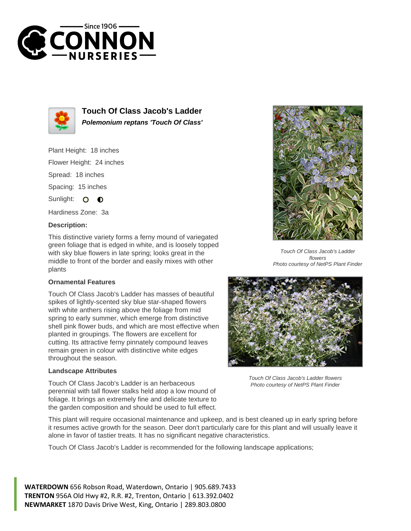



**Touch Of Class Jacob's Ladder Polemonium reptans 'Touch Of Class'**

Plant Height: 18 inches

Flower Height: 24 inches

Spread: 18 inches

Spacing: 15 inches

Sunlight: O  $\bullet$ 

Hardiness Zone: 3a

## **Description:**

This distinctive variety forms a ferny mound of variegated green foliage that is edged in white, and is loosely topped with sky blue flowers in late spring; looks great in the middle to front of the border and easily mixes with other plants

## **Ornamental Features**

Touch Of Class Jacob's Ladder has masses of beautiful spikes of lightly-scented sky blue star-shaped flowers with white anthers rising above the foliage from mid spring to early summer, which emerge from distinctive shell pink flower buds, and which are most effective when planted in groupings. The flowers are excellent for cutting. Its attractive ferny pinnately compound leaves remain green in colour with distinctive white edges throughout the season.

## **Landscape Attributes**

Touch Of Class Jacob's Ladder is an herbaceous perennial with tall flower stalks held atop a low mound of foliage. It brings an extremely fine and delicate texture to the garden composition and should be used to full effect.

Touch Of Class Jacob's Ladder flowers Photo courtesy of NetPS Plant Finder



Touch Of Class Jacob's Ladder flowers Photo courtesy of NetPS Plant Finder

This plant will require occasional maintenance and upkeep, and is best cleaned up in early spring before it resumes active growth for the season. Deer don't particularly care for this plant and will usually leave it alone in favor of tastier treats. It has no significant negative characteristics.

Touch Of Class Jacob's Ladder is recommended for the following landscape applications;

**WATERDOWN** 656 Robson Road, Waterdown, Ontario | 905.689.7433 **TRENTON** 956A Old Hwy #2, R.R. #2, Trenton, Ontario | 613.392.0402 **NEWMARKET** 1870 Davis Drive West, King, Ontario | 289.803.0800